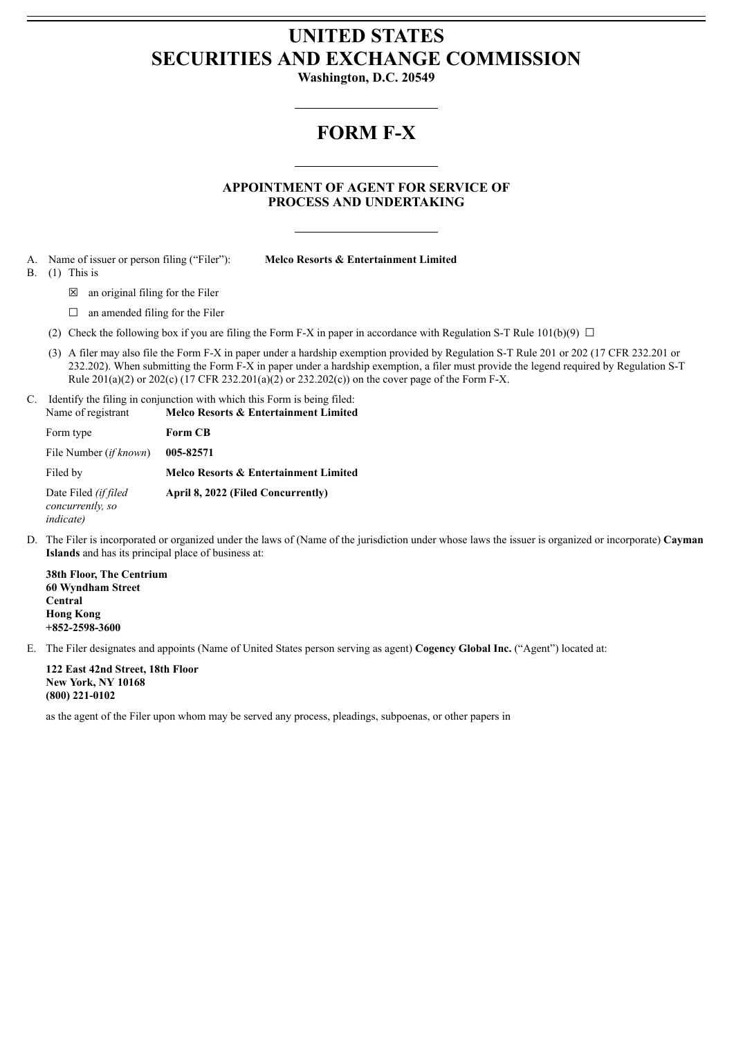## **UNITED STATES SECURITIES AND EXCHANGE COMMISSION**

**Washington, D.C. 20549**

## **FORM F-X**

**APPOINTMENT OF AGENT FOR SERVICE OF PROCESS AND UNDERTAKING**

- A. Name of issuer or person filing ("Filer"): **Melco Resorts & Entertainment Limited**
- 

B. (1) This is

- 
- $\boxtimes$  an original filing for the Filer
- $\Box$  an amended filing for the Filer
- (2) Check the following box if you are filing the Form F-X in paper in accordance with Regulation S-T Rule 101(b)(9)  $\Box$
- (3) A filer may also file the Form F-X in paper under a hardship exemption provided by Regulation S-T Rule 201 or 202 (17 CFR 232.201 or 232.202). When submitting the Form F-X in paper under a hardship exemption, a filer must provide the legend required by Regulation S-T Rule 201(a)(2) or 202(c) (17 CFR 232.201(a)(2) or 232.202(c)) on the cover page of the Form F-X.
- C. Identify the filing in conjunction with which this Form is being filed: Name of registrant **Melco Resorts & Entertainment Limited**

| <b>TVALLIC OF ICEISTIALIT</b>                                 | гиско кезоне ее елистанниет епшиса    |
|---------------------------------------------------------------|---------------------------------------|
| Form type                                                     | <b>Form CB</b>                        |
| File Number <i>(if known)</i>                                 | 005-82571                             |
| Filed by                                                      | Melco Resorts & Entertainment Limited |
| Date Filed (if filed<br>concurrently, so<br><i>indicate</i> ) | April 8, 2022 (Filed Concurrently)    |

D. The Filer is incorporated or organized under the laws of (Name of the jurisdiction under whose laws the issuer is organized or incorporate) **Cayman Islands** and has its principal place of business at:

**38th Floor, The Centrium 60 Wyndham Street Central Hong Kong +852-2598-3600**

E. The Filer designates and appoints (Name of United States person serving as agent) **Cogency Global Inc.** ("Agent") located at:

**122 East 42nd Street, 18th Floor New York, NY 10168 (800) 221-0102**

as the agent of the Filer upon whom may be served any process, pleadings, subpoenas, or other papers in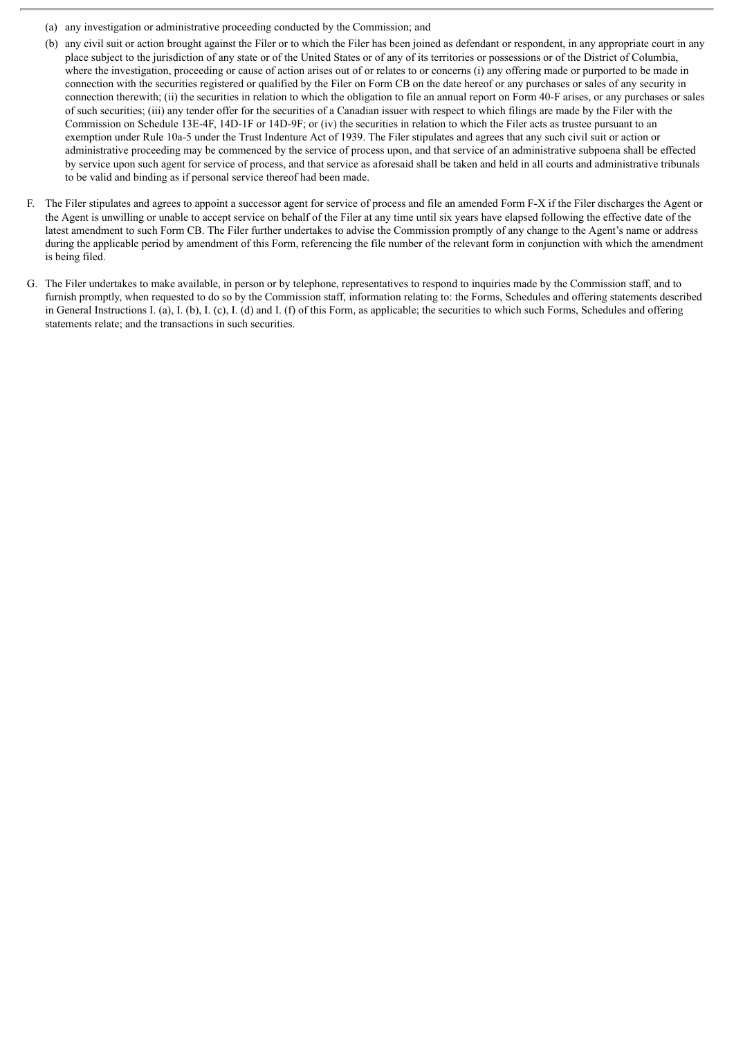- (a) any investigation or administrative proceeding conducted by the Commission; and
- (b) any civil suit or action brought against the Filer or to which the Filer has been joined as defendant or respondent, in any appropriate court in any place subject to the jurisdiction of any state or of the United States or of any of its territories or possessions or of the District of Columbia, where the investigation, proceeding or cause of action arises out of or relates to or concerns (i) any offering made or purported to be made in connection with the securities registered or qualified by the Filer on Form CB on the date hereof or any purchases or sales of any security in connection therewith; (ii) the securities in relation to which the obligation to file an annual report on Form 40-F arises, or any purchases or sales of such securities; (iii) any tender offer for the securities of a Canadian issuer with respect to which filings are made by the Filer with the Commission on Schedule 13E-4F, 14D-1F or 14D-9F; or (iv) the securities in relation to which the Filer acts as trustee pursuant to an exemption under Rule 10a-5 under the Trust Indenture Act of 1939. The Filer stipulates and agrees that any such civil suit or action or administrative proceeding may be commenced by the service of process upon, and that service of an administrative subpoena shall be effected by service upon such agent for service of process, and that service as aforesaid shall be taken and held in all courts and administrative tribunals to be valid and binding as if personal service thereof had been made.
- F. The Filer stipulates and agrees to appoint a successor agent for service of process and file an amended Form F-X if the Filer discharges the Agent or the Agent is unwilling or unable to accept service on behalf of the Filer at any time until six years have elapsed following the effective date of the latest amendment to such Form CB. The Filer further undertakes to advise the Commission promptly of any change to the Agent's name or address during the applicable period by amendment of this Form, referencing the file number of the relevant form in conjunction with which the amendment is being filed.
- G. The Filer undertakes to make available, in person or by telephone, representatives to respond to inquiries made by the Commission staff, and to furnish promptly, when requested to do so by the Commission staff, information relating to: the Forms, Schedules and offering statements described in General Instructions I. (a), I. (b), I. (c), I. (d) and I. (f) of this Form, as applicable; the securities to which such Forms, Schedules and offering statements relate; and the transactions in such securities.